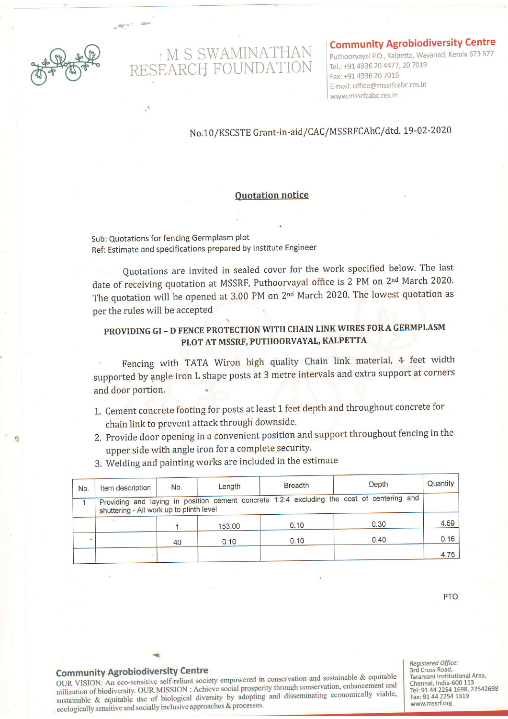

and the

# M S SWAMINATHAN<br>RESEARCH FOUNDATION

### Community Agrobiodiversity Centre

Puthoorvayal P.O., Kalpetta, Wayanad, Kerala 673 577 Tel.: +91 4936 20 4477, 20 7019 Fax: +91 4936 20 7019 E-mail: office@mssrfcabc.res.in www.mssrfcabc.res.in

## No.10/KSCSTE Grant-in-aid/CAC/MSSRFCAbC/dtd. 19-02-2020

#### Quotation notice

Sub: Quotations for fencing Germplasm plot Ref: Estimate and specifications prepared by Institute Engineer

Quotations are invited in sealed cover for the work specified below. The last date of receiving quotation at MSSRF, Puthoorvayal office is 2 PM on 2<sup>nd</sup> March 2020. The quotation will be opened at 3.00 PM on 2nd March 2020. The lowest quotation as per the rules will be accepted

# PROVIDING GI - D FENCE PROTECTION WITH CHAIN LINK WIRES FOR A GERMPLASM PLOT AT MSSRF, PUTHOORVAYAL, KALPETTA

Fencing with TATA Wiron high quality Chain link material, 4 feet width supported by angle iron L shape posts at 3 metre intervals and extra support at corners and door portion

- 1. Cement concrete footing for posts at least 1 feet depth and throughout concrete for chain link to prevent attack through downside.
- 2. Provide door opening in a convenient position and support throughout fencing in the upper side with angle iron for a complete security.
- Quantity **Depth Breadth** Item description  $No.$ Length No. Providing and laying in position cement concrete 1:2:4 excluding the cost of centering and  $\overline{1}$ shuttering - All work up to plinth level 4.59  $0.30$ 153.00  $0.10$  $\overline{1}$  $0.16$ i,  $0.10$  $0.40$ 40  $0.10$ 4.75
- 3. Welding and painting works are included in the estimate

PTO

## Community Agrobiodiversity centre

oUR VISION: An eco-sensitive sell-reliant society empowered in conseryation and sustainable & equitable utilization of biodiversity. OUR MISSION : Achieve social prosperity through conservation, enhancement and utilization of biodiversity. OUR MISSION : Achieve social prosperity through conservation, enhancement and<br>sustainable & equitable use of biological diversity by adopting and disseminating economically viable,<br>sustainable ecologically sensitive and socially inclusive approaches & processes.

Registered Office: 3rd cross Road, Taramani Institutional Area, Chennai, India-600 113<br>Tel: 91 44 2254 1698, 22542698 Fax: 91 44 2254 1319<br>www.mssrf.org